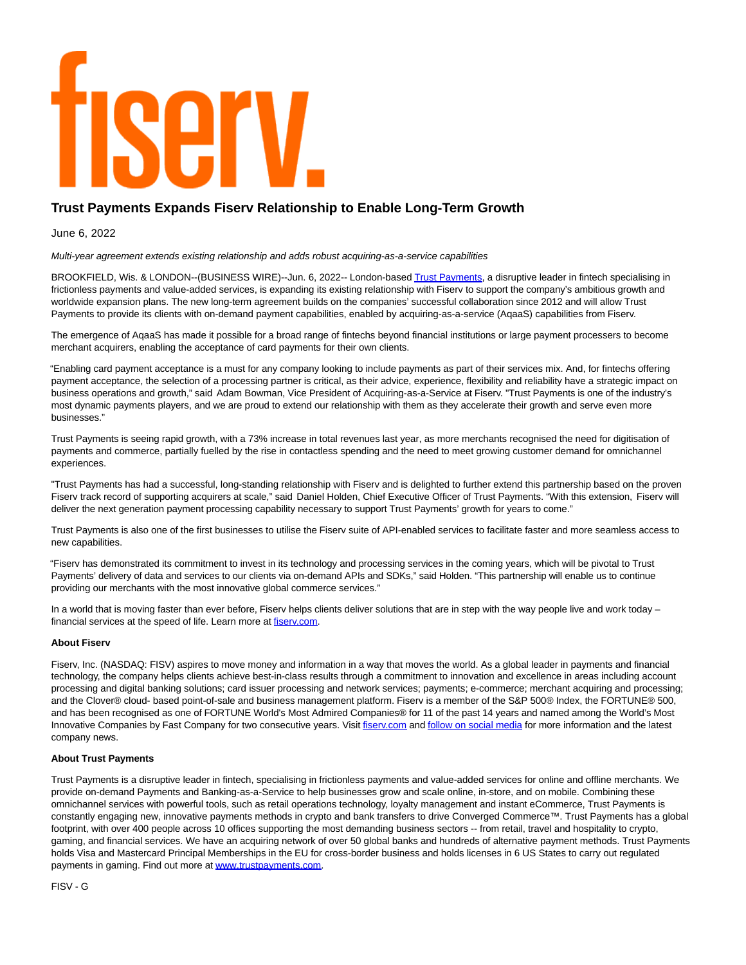## YATV

## **Trust Payments Expands Fiserv Relationship to Enable Long-Term Growth**

June 6, 2022

Multi-year agreement extends existing relationship and adds robust acquiring-as-a-service capabilities

BROOKFIELD, Wis. & LONDON--(BUSINESS WIRE)--Jun. 6, 2022-- London-base[d Trust Payments,](https://cts.businesswire.com/ct/CT?id=smartlink&url=http%3A%2F%2Fwww.trustpayments.com.&esheet=52740151&newsitemid=20220606005452&lan=en-US&anchor=Trust+Payments&index=1&md5=9f4f269c44ba22a157a3e4b01fe24669) a disruptive leader in fintech specialising in frictionless payments and value-added services, is expanding its existing relationship with Fiserv to support the company's ambitious growth and worldwide expansion plans. The new long-term agreement builds on the companies' successful collaboration since 2012 and will allow Trust Payments to provide its clients with on-demand payment capabilities, enabled by acquiring-as-a-service (AqaaS) capabilities from Fiserv.

The emergence of AqaaS has made it possible for a broad range of fintechs beyond financial institutions or large payment processers to become merchant acquirers, enabling the acceptance of card payments for their own clients.

"Enabling card payment acceptance is a must for any company looking to include payments as part of their services mix. And, for fintechs offering payment acceptance, the selection of a processing partner is critical, as their advice, experience, flexibility and reliability have a strategic impact on business operations and growth," said Adam Bowman, Vice President of Acquiring-as-a-Service at Fiserv. "Trust Payments is one of the industry's most dynamic payments players, and we are proud to extend our relationship with them as they accelerate their growth and serve even more businesses."

Trust Payments is seeing rapid growth, with a 73% increase in total revenues last year, as more merchants recognised the need for digitisation of payments and commerce, partially fuelled by the rise in contactless spending and the need to meet growing customer demand for omnichannel experiences.

"Trust Payments has had a successful, long-standing relationship with Fiserv and is delighted to further extend this partnership based on the proven Fiserv track record of supporting acquirers at scale," said Daniel Holden, Chief Executive Officer of Trust Payments. "With this extension, Fiserv will deliver the next generation payment processing capability necessary to support Trust Payments' growth for years to come."

Trust Payments is also one of the first businesses to utilise the Fiserv suite of API-enabled services to facilitate faster and more seamless access to new capabilities.

"Fiserv has demonstrated its commitment to invest in its technology and processing services in the coming years, which will be pivotal to Trust Payments' delivery of data and services to our clients via on-demand APIs and SDKs," said Holden. "This partnership will enable us to continue providing our merchants with the most innovative global commerce services."

In a world that is moving faster than ever before, Fiserv helps clients deliver solutions that are in step with the way people live and work today financial services at the speed of life. Learn more at fisery.com.

## **About Fiserv**

Fiserv, Inc. (NASDAQ: FISV) aspires to move money and information in a way that moves the world. As a global leader in payments and financial technology, the company helps clients achieve best-in-class results through a commitment to innovation and excellence in areas including account processing and digital banking solutions; card issuer processing and network services; payments; e-commerce; merchant acquiring and processing; and the Clover® cloud- based point-of-sale and business management platform. Fiserv is a member of the S&P 500® Index, the FORTUNE® 500, and has been recognised as one of FORTUNE World's Most Admired Companies® for 11 of the past 14 years and named among the World's Most Innovative Companies by Fast Company for two consecutive years. Visit fisery.com an[d follow on social media f](https://cts.businesswire.com/ct/CT?id=smartlink&url=https%3A%2F%2Fwww.fiserv.com%2Fen%2Fabout-fiserv%2Fsocial-media.html&esheet=52740151&newsitemid=20220606005452&lan=en-US&anchor=follow+on+social+media&index=4&md5=22522e94199abc384c62e4fa98a224c8)or more information and the latest company news.

## **About Trust Payments**

Trust Payments is a disruptive leader in fintech, specialising in frictionless payments and value-added services for online and offline merchants. We provide on-demand Payments and Banking-as-a-Service to help businesses grow and scale online, in-store, and on mobile. Combining these omnichannel services with powerful tools, such as retail operations technology, loyalty management and instant eCommerce, Trust Payments is constantly engaging new, innovative payments methods in crypto and bank transfers to drive Converged Commerce™. Trust Payments has a global footprint, with over 400 people across 10 offices supporting the most demanding business sectors -- from retail, travel and hospitality to crypto, gaming, and financial services. We have an acquiring network of over 50 global banks and hundreds of alternative payment methods. Trust Payments holds Visa and Mastercard Principal Memberships in the EU for cross-border business and holds licenses in 6 US States to carry out regulated payments in gaming. Find out more at [www.trustpayments.com.](https://cts.businesswire.com/ct/CT?id=smartlink&url=http%3A%2F%2Fwww.trustpayments.com.&esheet=52740151&newsitemid=20220606005452&lan=en-US&anchor=www.trustpayments.com&index=5&md5=f45abcf643fe224920d144095ffc694a)